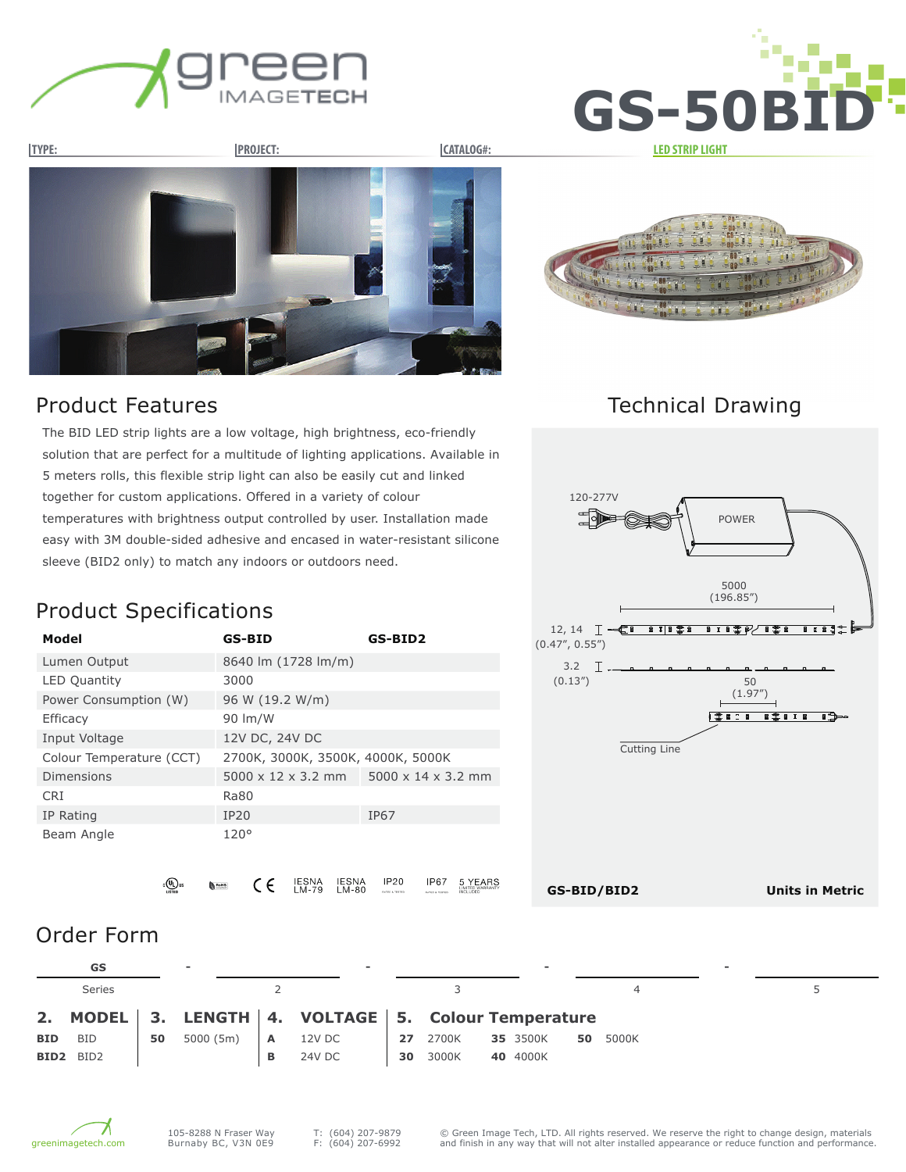







#### Product Features

Technical Drawing

POWER

The BID LED strip lights are a low voltage, high brightness, eco-friendly solution that are perfect for a multitude of lighting applications. Available in 5 meters rolls, this flexible strip light can also be easily cut and linked together for custom applications. Offered in a variety of colour temperatures with brightness output controlled by user. Installation made easy with 3M double-sided adhesive and encased in water-resistant silicone sleeve (BID2 only) to match any indoors or outdoors need.

## Product Specifications

| Model                    | <b>GS-BID</b>                     | GS-BID2                        |
|--------------------------|-----------------------------------|--------------------------------|
| Lumen Output             | 8640 lm (1728 lm/m)               |                                |
| <b>LED Quantity</b>      | 3000                              |                                |
| Power Consumption (W)    | 96 W (19.2 W/m)                   |                                |
| Efficacy                 | 90 lm/W                           |                                |
| Input Voltage            | 12V DC, 24V DC                    |                                |
| Colour Temperature (CCT) | 2700K, 3000K, 3500K, 4000K, 5000K |                                |
| <b>Dimensions</b>        | $5000 \times 12 \times 3.2$ mm    | $5000 \times 14 \times 3.2$ mm |
| <b>CRI</b>               | Ra80                              |                                |
| IP Rating                | IP20                              | IP67                           |
| Beam Angle               | 120°                              |                                |



**Units in Metric**

IESNA<br>LM-79 IESNA<br>LM-80 IP20 **IP67** 5 YEARS ւ©∪ա  $\epsilon$ 

#### Order Form

|            | GS            |    | $\overline{\phantom{a}}$ |              | $\sim$                                              |    |          | $\overline{\phantom{0}}$ |    |       | $\overline{\phantom{0}}$ |  |
|------------|---------------|----|--------------------------|--------------|-----------------------------------------------------|----|----------|--------------------------|----|-------|--------------------------|--|
|            | <b>Series</b> |    |                          |              |                                                     |    |          |                          |    |       |                          |  |
|            |               |    |                          |              | 2. MODEL 3. LENGTH 4. VOLTAGE 5. Colour Temperature |    |          |                          |    |       |                          |  |
| <b>BID</b> | BID           | 50 | 5000(5m)                 | $\mathsf{A}$ | 12V DC                                              |    | 27 2700K | 35 3500K                 | 50 | 5000K |                          |  |
| BID2       | BID2          |    |                          | в            | 24V DC                                              | 30 | 3000K    | 40 4000K                 |    |       |                          |  |



T: (604) 207-9879 F: (604) 207-6992

**GS-BID/BID2**

120-277V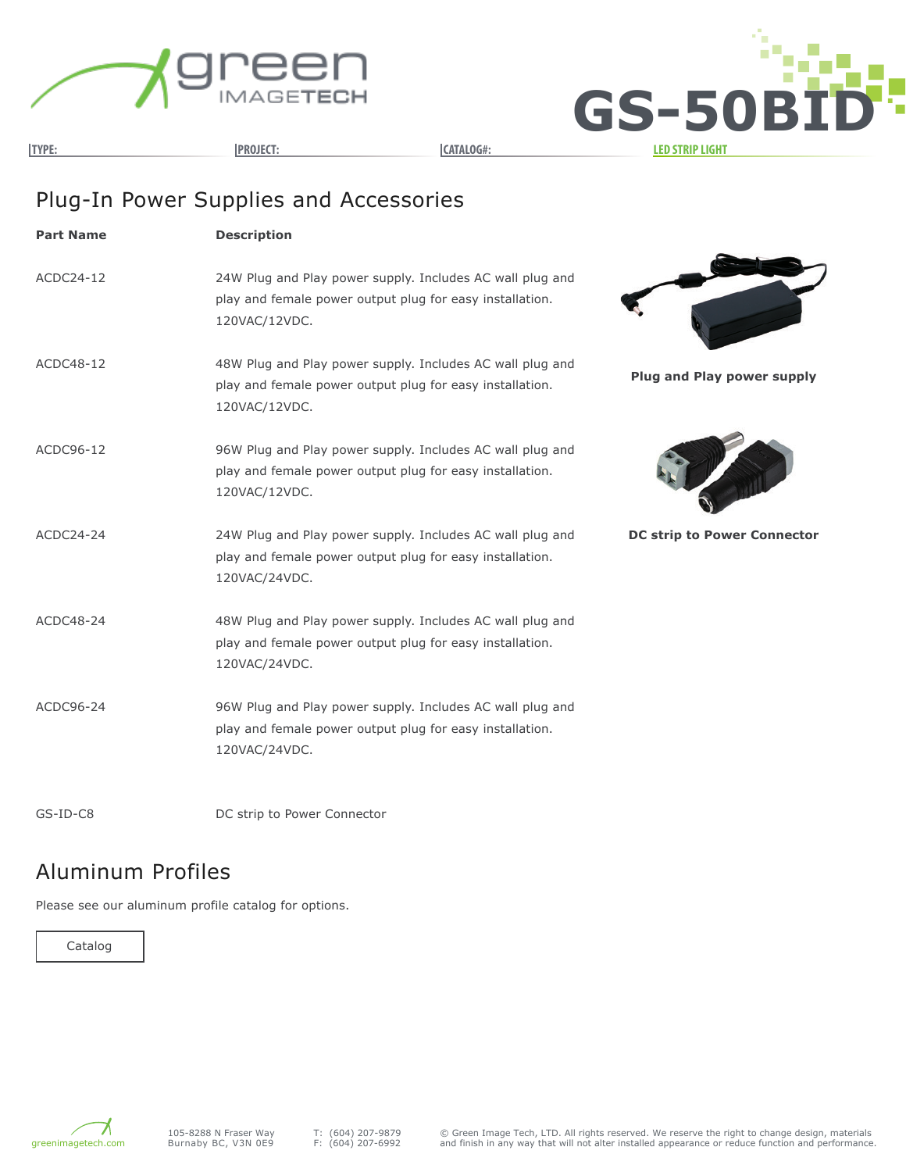



# Plug-In Power Supplies and Accessories

| <b>Part Name</b> | <b>Description</b>                                                                                                                     |                                    |
|------------------|----------------------------------------------------------------------------------------------------------------------------------------|------------------------------------|
| ACDC24-12        | 24W Plug and Play power supply. Includes AC wall plug and<br>play and female power output plug for easy installation.<br>120VAC/12VDC. |                                    |
| ACDC48-12        | 48W Plug and Play power supply. Includes AC wall plug and<br>play and female power output plug for easy installation.<br>120VAC/12VDC. | <b>Plug and Play power supply</b>  |
| ACDC96-12        | 96W Plug and Play power supply. Includes AC wall plug and<br>play and female power output plug for easy installation.<br>120VAC/12VDC. |                                    |
| ACDC24-24        | 24W Plug and Play power supply. Includes AC wall plug and<br>play and female power output plug for easy installation.<br>120VAC/24VDC. | <b>DC strip to Power Connector</b> |
| ACDC48-24        | 48W Plug and Play power supply. Includes AC wall plug and<br>play and female power output plug for easy installation.<br>120VAC/24VDC. |                                    |
| ACDC96-24        | 96W Plug and Play power supply. Includes AC wall plug and<br>play and female power output plug for easy installation.<br>120VAC/24VDC. |                                    |
|                  |                                                                                                                                        |                                    |

GS-ID-C8

DC strip to Power Connector

#### Aluminum Profiles

Please see our aluminum profile catalog for options.



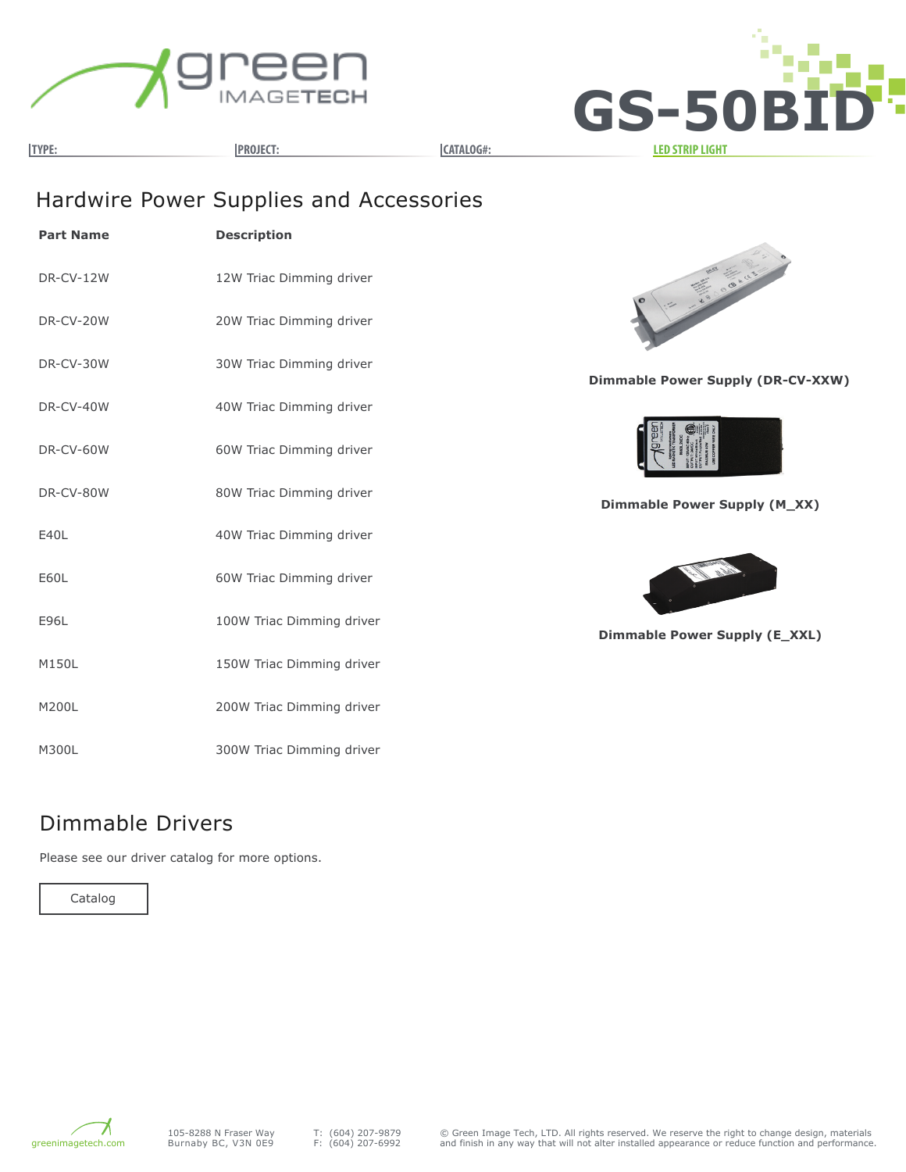



**TYPE: PROJECT: CATALOG#: LED STRIP LIGHT**

# Hardwire Power Supplies and Accessories

| <b>Part Name</b> | <b>Description</b>        |
|------------------|---------------------------|
| DR-CV-12W        | 12W Triac Dimming driver  |
| DR-CV-20W        | 20W Triac Dimming driver  |
| DR-CV-30W        | 30W Triac Dimming driver  |
| DR-CV-40W        | 40W Triac Dimming driver  |
| DR-CV-60W        | 60W Triac Dimming driver  |
| DR-CV-80W        | 80W Triac Dimming driver  |
| F401             | 40W Triac Dimming driver  |
| E60L             | 60W Triac Dimming driver  |
| E96L             | 100W Triac Dimming driver |
| M150L            | 150W Triac Dimming driver |
| M200L            | 200W Triac Dimming driver |
| M300L            | 300W Triac Dimming driver |



**Dimmable Power Supply (DR-CV-XXW)**



**Dimmable Power Supply (M\_XX)**



**Dimmable Power Supply (E\_XXL)**

#### Dimmable Drivers

Please see our driver catalog for more options.

Catalog

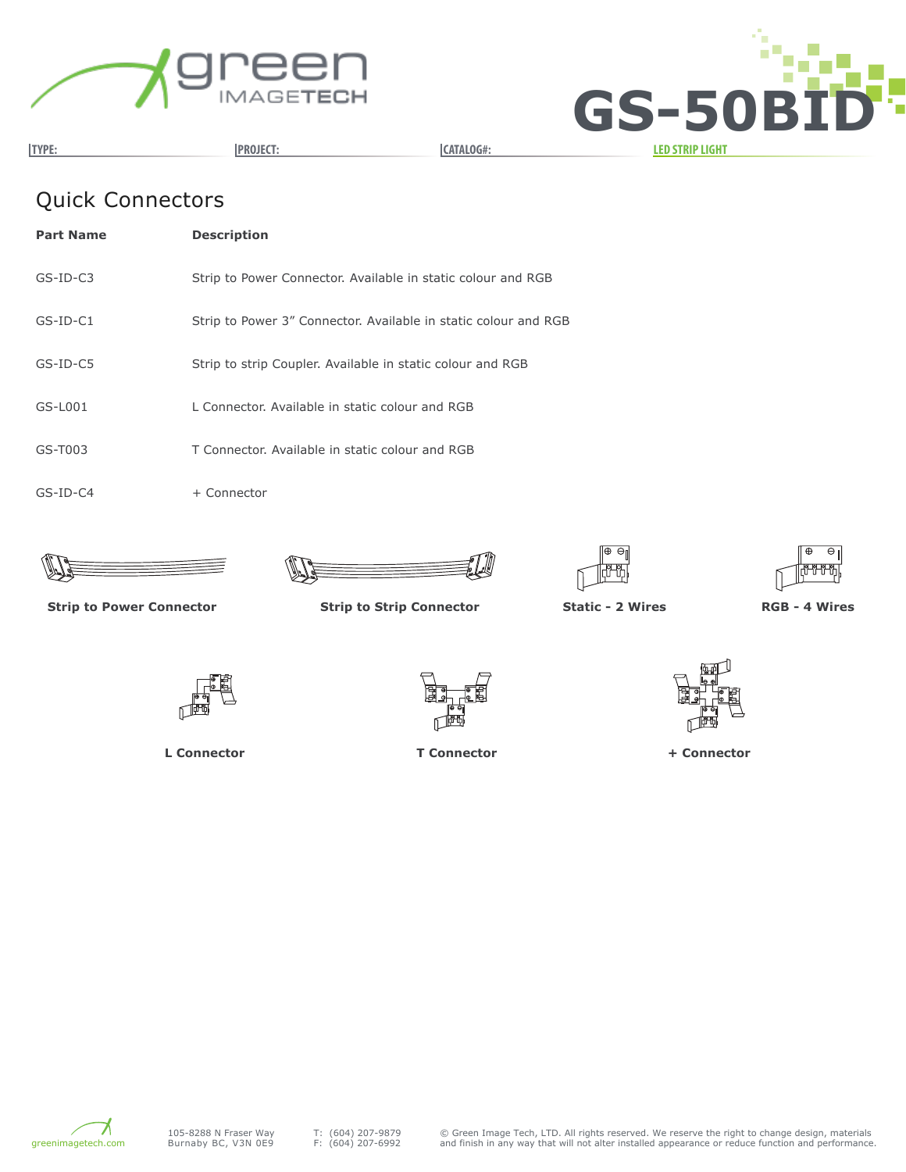



## Quick Connectors

| <b>Part Name</b> | <b>Description</b>                                              |
|------------------|-----------------------------------------------------------------|
| $GS-ID-C3$       | Strip to Power Connector. Available in static colour and RGB    |
| $GS-ID-C1$       | Strip to Power 3" Connector. Available in static colour and RGB |
| $GS-ID-CS$       | Strip to strip Coupler. Available in static colour and RGB      |
| GS-L001          | L Connector. Available in static colour and RGB                 |
| GS-T003          | T Connector. Available in static colour and RGB                 |
| $GS$ -ID-C4      | + Connector                                                     |









**Strip to Power Connector Strip to Strip Connector Static - 2 Wires RGB - 4 Wires**



**L Connector T Connector + Connector**